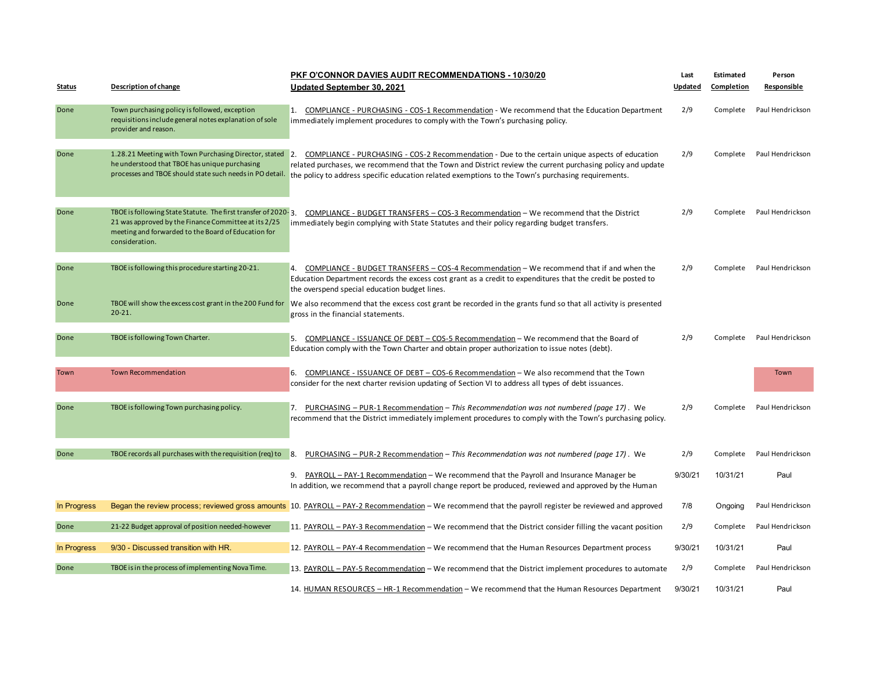|               |                                                                                                                                                                                                 | <b>PKF O'CONNOR DAVIES AUDIT RECOMMENDATIONS - 10/30/20</b>                                                                                                                                                                                                                                                            | Last    | Estimated  | Person           |
|---------------|-------------------------------------------------------------------------------------------------------------------------------------------------------------------------------------------------|------------------------------------------------------------------------------------------------------------------------------------------------------------------------------------------------------------------------------------------------------------------------------------------------------------------------|---------|------------|------------------|
| <b>Status</b> | <b>Description of change</b>                                                                                                                                                                    | Updated September 30, 2021                                                                                                                                                                                                                                                                                             | Updated | Completion | Responsible      |
| Done          | Town purchasing policy is followed, exception<br>requisitions include general notes explanation of sole<br>provider and reason.                                                                 | 1. COMPLIANCE - PURCHASING - COS-1 Recommendation - We recommend that the Education Department<br>immediately implement procedures to comply with the Town's purchasing policy.                                                                                                                                        | 2/9     | Complete   | Paul Hendrickson |
| Done          | 1.28.21 Meeting with Town Purchasing Director, stated<br>he understood that TBOE has unique purchasing<br>processes and TBOE should state such needs in PO detail.                              | 2. COMPLIANCE - PURCHASING - COS-2 Recommendation - Due to the certain unique aspects of education<br>related purchases, we recommend that the Town and District review the current purchasing policy and update<br>the policy to address specific education related exemptions to the Town's purchasing requirements. | 2/9     | Complete   | Paul Hendrickson |
| Done          | TBOE is following State Statute. The first transfer of 2020-3.<br>21 was approved by the Finance Committee at its 2/25<br>meeting and forwarded to the Board of Education for<br>consideration. | COMPLIANCE - BUDGET TRANSFERS - COS-3 Recommendation - We recommend that the District<br>immediately begin complying with State Statutes and their policy regarding budget transfers.                                                                                                                                  | 2/9     | Complete   | Paul Hendrickson |
| Done          | TBOE is following this procedure starting 20-21.                                                                                                                                                | 4. COMPLIANCE - BUDGET TRANSFERS - COS-4 Recommendation - We recommend that if and when the<br>Education Department records the excess cost grant as a credit to expenditures that the credit be posted to<br>the overspend special education budget lines.                                                            | 2/9     | Complete   | Paul Hendrickson |
| Done          | $20 - 21$ .                                                                                                                                                                                     | TBOE will show the excess cost grant in the 200 Fund for  We also recommend that the excess cost grant be recorded in the grants fund so that all activity is presented<br>gross in the financial statements.                                                                                                          |         |            |                  |
| Done          | TBOE is following Town Charter.                                                                                                                                                                 | 5. COMPLIANCE - ISSUANCE OF DEBT - COS-5 Recommendation - We recommend that the Board of<br>Education comply with the Town Charter and obtain proper authorization to issue notes (debt).                                                                                                                              | 2/9     | Complete   | Paul Hendrickson |
| Town          | <b>Town Recommendation</b>                                                                                                                                                                      | 6. COMPLIANCE - ISSUANCE OF DEBT - COS-6 Recommendation - We also recommend that the Town<br>consider for the next charter revision updating of Section VI to address all types of debt issuances.                                                                                                                     |         |            | <b>Town</b>      |
| Done          | TBOE is following Town purchasing policy.                                                                                                                                                       | 7. PURCHASING - PUR-1 Recommendation - This Recommendation was not numbered (page 17). We<br>recommend that the District immediately implement procedures to comply with the Town's purchasing policy.                                                                                                                 | 2/9     | Complete   | Paul Hendrickson |
| Done          | TBOE records all purchases with the requisition (req) to                                                                                                                                        | 8.<br><b>PURCHASING - PUR-2 Recommendation - This Recommendation was not numbered (page 17).</b> We                                                                                                                                                                                                                    | 2/9     | Complete   | Paul Hendrickson |
|               |                                                                                                                                                                                                 | 9. PAYROLL - PAY-1 Recommendation - We recommend that the Payroll and Insurance Manager be<br>In addition, we recommend that a payroll change report be produced, reviewed and approved by the Human                                                                                                                   | 9/30/21 | 10/31/21   | Paul             |
| In Progress   |                                                                                                                                                                                                 | Began the review process; reviewed gross amounts 10. PAYROLL - PAY-2 Recommendation - We recommend that the payroll register be reviewed and approved                                                                                                                                                                  | 7/8     | Ongoing    | Paul Hendrickson |
| Done          | 21-22 Budget approval of position needed-however                                                                                                                                                | 11. PAYROLL – PAY-3 Recommendation – We recommend that the District consider filling the vacant position                                                                                                                                                                                                               | 2/9     | Complete   | Paul Hendrickson |
| In Progress   | 9/30 - Discussed transition with HR.                                                                                                                                                            | 12. PAYROLL - PAY-4 Recommendation - We recommend that the Human Resources Department process                                                                                                                                                                                                                          | 9/30/21 | 10/31/21   | Paul             |
| Done          | TBOE is in the process of implementing Nova Time.                                                                                                                                               | 13. PAYROLL - PAY-5 Recommendation - We recommend that the District implement procedures to automate                                                                                                                                                                                                                   | 2/9     | Complete   | Paul Hendrickson |
|               |                                                                                                                                                                                                 | 14. HUMAN RESOURCES - HR-1 Recommendation - We recommend that the Human Resources Department                                                                                                                                                                                                                           | 9/30/21 | 10/31/21   | Paul             |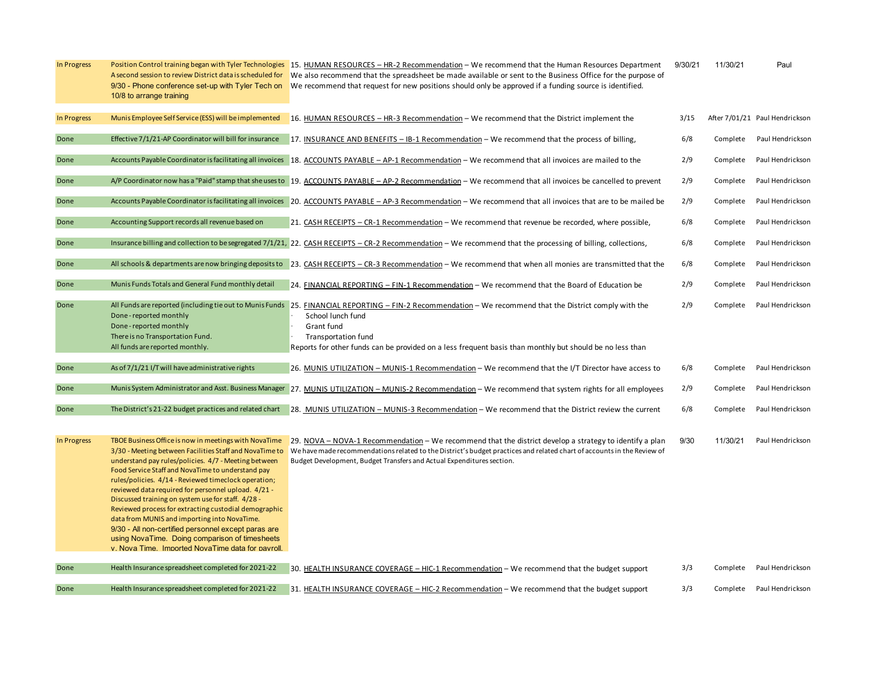| In Progress | A second session to review District data is scheduled for<br>9/30 - Phone conference set-up with Tyler Tech on<br>10/8 to arrange training                                                                                                                                                                                                                                                                                                                                                                                                                                                                                                                             | Position Control training began with Tyler Technologies 15. HUMAN RESOURCES - HR-2 Recommendation - We recommend that the Human Resources Department<br>We also recommend that the spreadsheet be made available or sent to the Business Office for the purpose of<br>We recommend that request for new positions should only be approved if a funding source is identified. | 9/30/21 | 11/30/21 | Paul                           |
|-------------|------------------------------------------------------------------------------------------------------------------------------------------------------------------------------------------------------------------------------------------------------------------------------------------------------------------------------------------------------------------------------------------------------------------------------------------------------------------------------------------------------------------------------------------------------------------------------------------------------------------------------------------------------------------------|------------------------------------------------------------------------------------------------------------------------------------------------------------------------------------------------------------------------------------------------------------------------------------------------------------------------------------------------------------------------------|---------|----------|--------------------------------|
| In Progress | Munis Employee Self Service (ESS) will be implemented                                                                                                                                                                                                                                                                                                                                                                                                                                                                                                                                                                                                                  | 16. HUMAN RESOURCES - HR-3 Recommendation - We recommend that the District implement the                                                                                                                                                                                                                                                                                     | 3/15    |          | After 7/01/21 Paul Hendrickson |
| Done        | Effective 7/1/21-AP Coordinator will bill for insurance                                                                                                                                                                                                                                                                                                                                                                                                                                                                                                                                                                                                                | 17. INSURANCE AND BENEFITS - IB-1 Recommendation - We recommend that the process of billing,                                                                                                                                                                                                                                                                                 | 6/8     | Complete | Paul Hendrickson               |
| Done        |                                                                                                                                                                                                                                                                                                                                                                                                                                                                                                                                                                                                                                                                        | Accounts Payable Coordinator is facilitating all invoices 18. ACCOUNTS PAYABLE - AP-1 Recommendation - We recommend that all invoices are mailed to the                                                                                                                                                                                                                      | 2/9     | Complete | Paul Hendrickson               |
| Done        |                                                                                                                                                                                                                                                                                                                                                                                                                                                                                                                                                                                                                                                                        | A/P Coordinator now has a "Paid" stamp that she uses to 19. ACCOUNTS PAYABLE - AP-2 Recommendation - We recommend that all invoices be cancelled to prevent                                                                                                                                                                                                                  | 2/9     | Complete | Paul Hendrickson               |
| Done        |                                                                                                                                                                                                                                                                                                                                                                                                                                                                                                                                                                                                                                                                        | Accounts Payable Coordinator is facilitating all invoices 20. ACCOUNTS PAYABLE - AP-3 Recommendation - We recommend that all invoices that are to be mailed be                                                                                                                                                                                                               | 2/9     | Complete | Paul Hendrickson               |
| Done        | Accounting Support records all revenue based on                                                                                                                                                                                                                                                                                                                                                                                                                                                                                                                                                                                                                        | 21. CASH RECEIPTS - CR-1 Recommendation - We recommend that revenue be recorded, where possible,                                                                                                                                                                                                                                                                             | 6/8     | Complete | Paul Hendrickson               |
| Done        |                                                                                                                                                                                                                                                                                                                                                                                                                                                                                                                                                                                                                                                                        | Insurance billing and collection to be segregated 7/1/21, 22. CASH RECEIPTS - CR-2 Recommendation - We recommend that the processing of billing, collections,                                                                                                                                                                                                                | 6/8     | Complete | Paul Hendrickson               |
| Done        |                                                                                                                                                                                                                                                                                                                                                                                                                                                                                                                                                                                                                                                                        | All schools & departments are now bringing deposits to 23. CASH RECEIPTS - CR-3 Recommendation - We recommend that when all monies are transmitted that the                                                                                                                                                                                                                  | 6/8     | Complete | Paul Hendrickson               |
| Done        | Munis Funds Totals and General Fund monthly detail                                                                                                                                                                                                                                                                                                                                                                                                                                                                                                                                                                                                                     | 24. FINANCIAL REPORTING - FIN-1 Recommendation - We recommend that the Board of Education be                                                                                                                                                                                                                                                                                 | 2/9     | Complete | Paul Hendrickson               |
| Done        | Done-reported monthly<br>Done-reported monthly<br>There is no Transportation Fund.<br>All funds are reported monthly.                                                                                                                                                                                                                                                                                                                                                                                                                                                                                                                                                  | All Funds are reported (including tie out to Munis Funds 25. FINANCIAL REPORTING - FIN-2 Recommendation - We recommend that the District comply with the<br>School lunch fund<br>Grant fund<br><b>Transportation fund</b><br>Reports for other funds can be provided on a less frequent basis than monthly but should be no less than                                        | 2/9     | Complete | Paul Hendrickson               |
| Done        | As of 7/1/21 I/T will have administrative rights                                                                                                                                                                                                                                                                                                                                                                                                                                                                                                                                                                                                                       |                                                                                                                                                                                                                                                                                                                                                                              | 6/8     | Complete | Paul Hendrickson               |
|             |                                                                                                                                                                                                                                                                                                                                                                                                                                                                                                                                                                                                                                                                        | 26. MUNIS UTILIZATION - MUNIS-1 Recommendation - We recommend that the I/T Director have access to                                                                                                                                                                                                                                                                           |         |          |                                |
| Done        |                                                                                                                                                                                                                                                                                                                                                                                                                                                                                                                                                                                                                                                                        | Munis System Administrator and Asst. Business Manager 27. MUNIS UTILIZATION - MUNIS-2 Recommendation - We recommend that system rights for all employees                                                                                                                                                                                                                     | 2/9     | Complete | Paul Hendrickson               |
| Done        | The District's 21-22 budget practices and related chart                                                                                                                                                                                                                                                                                                                                                                                                                                                                                                                                                                                                                | 28. MUNIS UTILIZATION - MUNIS-3 Recommendation - We recommend that the District review the current                                                                                                                                                                                                                                                                           | 6/8     | Complete | Paul Hendrickson               |
| In Progress | TBOE Business Office is now in meetings with NovaTime<br>3/30 - Meeting between Facilities Staff and NovaTime to<br>understand pay rules/policies. 4/7 - Meeting between<br>Food Service Staff and NovaTime to understand pay<br>rules/policies. 4/14 - Reviewed timeclock operation;<br>reviewed data required for personnel upload. 4/21 -<br>Discussed training on system use for staff. 4/28 -<br>Reviewed process for extracting custodial demographic<br>data from MUNIS and importing into NovaTime.<br>9/30 - All non-certified personnel except paras are<br>using NovaTime. Doing comparison of timesheets<br>v Nova Time Imported NovaTime data for payroll | 29. NOVA – NOVA-1 Recommendation – We recommend that the district develop a strategy to identify a plan<br>We have made recommendations related to the District's budget practices and related chart of accounts in the Review of<br>Budget Development, Budget Transfers and Actual Expenditures section.                                                                   | 9/30    | 11/30/21 | Paul Hendrickson               |
| Done        | Health Insurance spreadsheet completed for 2021-22                                                                                                                                                                                                                                                                                                                                                                                                                                                                                                                                                                                                                     | 30. HEALTH INSURANCE COVERAGE - HIC-1 Recommendation - We recommend that the budget support                                                                                                                                                                                                                                                                                  | 3/3     | Complete | Paul Hendrickson               |
| Done        | Health Insurance spreadsheet completed for 2021-22                                                                                                                                                                                                                                                                                                                                                                                                                                                                                                                                                                                                                     | 31. HEALTH INSURANCE COVERAGE - HIC-2 Recommendation - We recommend that the budget support                                                                                                                                                                                                                                                                                  | 3/3     | Complete | Paul Hendrickson               |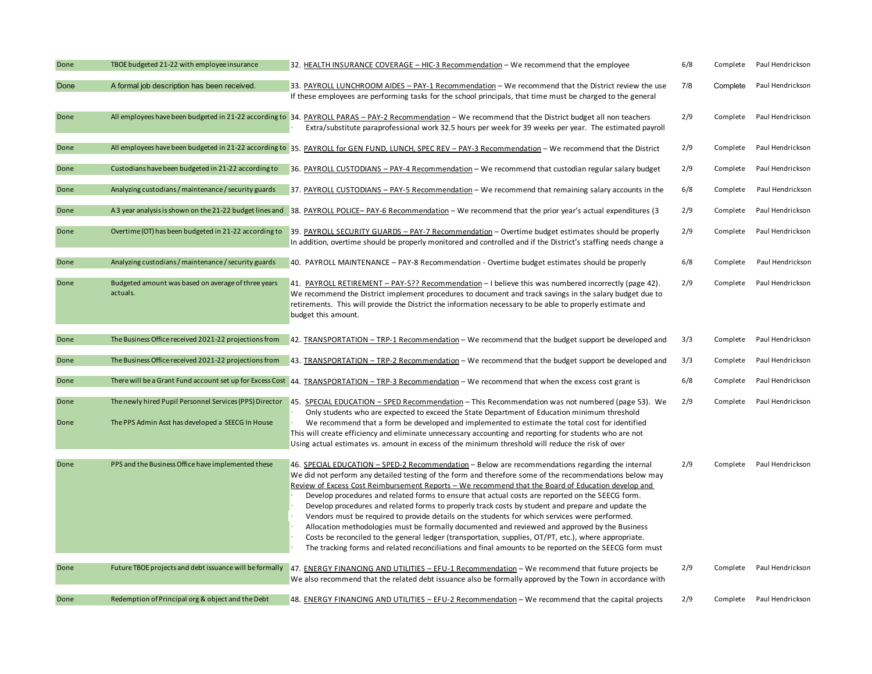| Done | TBOE budgeted 21-22 with employee insurance                     | 32. HEALTH INSURANCE COVERAGE - HIC-3 Recommendation - We recommend that the employee                                                                                                                                                                                                                                                                                                                                                                                                                                                                                                                                                                                                                                                                                                                                                                                                                                                              | 6/8 | Complete | Paul Hendrickson |
|------|-----------------------------------------------------------------|----------------------------------------------------------------------------------------------------------------------------------------------------------------------------------------------------------------------------------------------------------------------------------------------------------------------------------------------------------------------------------------------------------------------------------------------------------------------------------------------------------------------------------------------------------------------------------------------------------------------------------------------------------------------------------------------------------------------------------------------------------------------------------------------------------------------------------------------------------------------------------------------------------------------------------------------------|-----|----------|------------------|
| Done | A formal job description has been received.                     | 33. PAYROLL LUNCHROOM AIDES - PAY-1 Recommendation - We recommend that the District review the use<br>If these employees are performing tasks for the school principals, that time must be charged to the general                                                                                                                                                                                                                                                                                                                                                                                                                                                                                                                                                                                                                                                                                                                                  | 7/8 | Complete | Paul Hendrickson |
| Done |                                                                 | All employees have been budgeted in 21-22 according to 34. PAYROLL PARAS - PAY-2 Recommendation - We recommend that the District budget all non teachers<br>Extra/substitute paraprofessional work 32.5 hours per week for 39 weeks per year. The estimated payroll                                                                                                                                                                                                                                                                                                                                                                                                                                                                                                                                                                                                                                                                                | 2/9 | Complete | Paul Hendrickson |
| Done |                                                                 | All employees have been budgeted in 21-22 according to 35. PAYROLL for GEN FUND, LUNCH, SPEC REV - PAY-3 Recommendation - We recommend that the District                                                                                                                                                                                                                                                                                                                                                                                                                                                                                                                                                                                                                                                                                                                                                                                           | 2/9 | Complete | Paul Hendrickson |
| Done | Custodians have been budgeted in 21-22 according to             | 36. PAYROLL CUSTODIANS - PAY-4 Recommendation - We recommend that custodian regular salary budget                                                                                                                                                                                                                                                                                                                                                                                                                                                                                                                                                                                                                                                                                                                                                                                                                                                  | 2/9 | Complete | Paul Hendrickson |
| Done | Analyzing custodians / maintenance / security guards            | 37. PAYROLL CUSTODIANS - PAY-5 Recommendation - We recommend that remaining salary accounts in the                                                                                                                                                                                                                                                                                                                                                                                                                                                                                                                                                                                                                                                                                                                                                                                                                                                 | 6/8 | Complete | Paul Hendrickson |
| Done | A 3 year analysis is shown on the 21-22 budget lines and        | 38. PAYROLL POLICE-PAY-6 Recommendation - We recommend that the prior year's actual expenditures (3                                                                                                                                                                                                                                                                                                                                                                                                                                                                                                                                                                                                                                                                                                                                                                                                                                                | 2/9 | Complete | Paul Hendrickson |
| Done | Overtime (OT) has been budgeted in 21-22 according to           | 39. PAYROLL SECURITY GUARDS - PAY-7 Recommendation - Overtime budget estimates should be properly<br>In addition, overtime should be properly monitored and controlled and if the District's staffing needs change a                                                                                                                                                                                                                                                                                                                                                                                                                                                                                                                                                                                                                                                                                                                               | 2/9 | Complete | Paul Hendrickson |
| Done | Analyzing custodians / maintenance / security guards            | 40. PAYROLL MAINTENANCE - PAY-8 Recommendation - Overtime budget estimates should be properly                                                                                                                                                                                                                                                                                                                                                                                                                                                                                                                                                                                                                                                                                                                                                                                                                                                      | 6/8 | Complete | Paul Hendrickson |
| Done | Budgeted amount was based on average of three years<br>actuals. | 41. PAYROLL RETIREMENT - PAY-5?? Recommendation - I believe this was numbered incorrectly (page 42).<br>We recommend the District implement procedures to document and track savings in the salary budget due to<br>retirements. This will provide the District the information necessary to be able to properly estimate and<br>budget this amount.                                                                                                                                                                                                                                                                                                                                                                                                                                                                                                                                                                                               | 2/9 | Complete | Paul Hendrickson |
| Done | The Business Office received 2021-22 projections from           | 42. <b>TRANSPORTATION</b> – TRP-1 Recommendation – We recommend that the budget support be developed and                                                                                                                                                                                                                                                                                                                                                                                                                                                                                                                                                                                                                                                                                                                                                                                                                                           | 3/3 | Complete | Paul Hendrickson |
| Done | The Business Office received 2021-22 projections from           | 43. TRANSPORTATION – TRP-2 Recommendation – We recommend that the budget support be developed and                                                                                                                                                                                                                                                                                                                                                                                                                                                                                                                                                                                                                                                                                                                                                                                                                                                  | 3/3 | Complete | Paul Hendrickson |
| Done |                                                                 | There will be a Grant Fund account set up for Excess Cost 44. TRANSPORTATION - TRP-3 Recommendation - We recommend that when the excess cost grant is                                                                                                                                                                                                                                                                                                                                                                                                                                                                                                                                                                                                                                                                                                                                                                                              | 6/8 | Complete | Paul Hendrickson |
| Done | The newly hired Pupil Personnel Services (PPS) Director         | 45. SPECIAL EDUCATION - SPED Recommendation - This Recommendation was not numbered (page 53). We<br>Only students who are expected to exceed the State Department of Education minimum threshold                                                                                                                                                                                                                                                                                                                                                                                                                                                                                                                                                                                                                                                                                                                                                   | 2/9 | Complete | Paul Hendrickson |
| Done | The PPS Admin Asst has developed a SEECG In House               | We recommend that a form be developed and implemented to estimate the total cost for identified<br>This will create efficiency and eliminate unnecessary accounting and reporting for students who are not<br>Using actual estimates vs. amount in excess of the minimum threshold will reduce the risk of over                                                                                                                                                                                                                                                                                                                                                                                                                                                                                                                                                                                                                                    |     |          |                  |
| Done | PPS and the Business Office have implemented these              | 46. SPECIAL EDUCATION - SPED-2 Recommendation - Below are recommendations regarding the internal<br>We did not perform any detailed testing of the form and therefore some of the recommendations below may<br>Review of Excess Cost Reimbursement Reports – We recommend that the Board of Education develop and<br>Develop procedures and related forms to ensure that actual costs are reported on the SEECG form.<br>Develop procedures and related forms to properly track costs by student and prepare and update the<br>Vendors must be required to provide details on the students for which services were performed.<br>Allocation methodologies must be formally documented and reviewed and approved by the Business<br>Costs be reconciled to the general ledger (transportation, supplies, OT/PT, etc.), where appropriate.<br>The tracking forms and related reconciliations and final amounts to be reported on the SEECG form must | 2/9 | Complete | Paul Hendrickson |
| Done | Future TBOE projects and debt issuance will be formally         | 47. ENERGY FINANCING AND UTILITIES - EFU-1 Recommendation - We recommend that future projects be<br>We also recommend that the related debt issuance also be formally approved by the Town in accordance with                                                                                                                                                                                                                                                                                                                                                                                                                                                                                                                                                                                                                                                                                                                                      | 2/9 | Complete | Paul Hendrickson |
| Done | Redemption of Principal org & object and the Debt               | 48. ENERGY FINANCING AND UTILITIES - EFU-2 Recommendation - We recommend that the capital projects                                                                                                                                                                                                                                                                                                                                                                                                                                                                                                                                                                                                                                                                                                                                                                                                                                                 | 2/9 | Complete | Paul Hendrickson |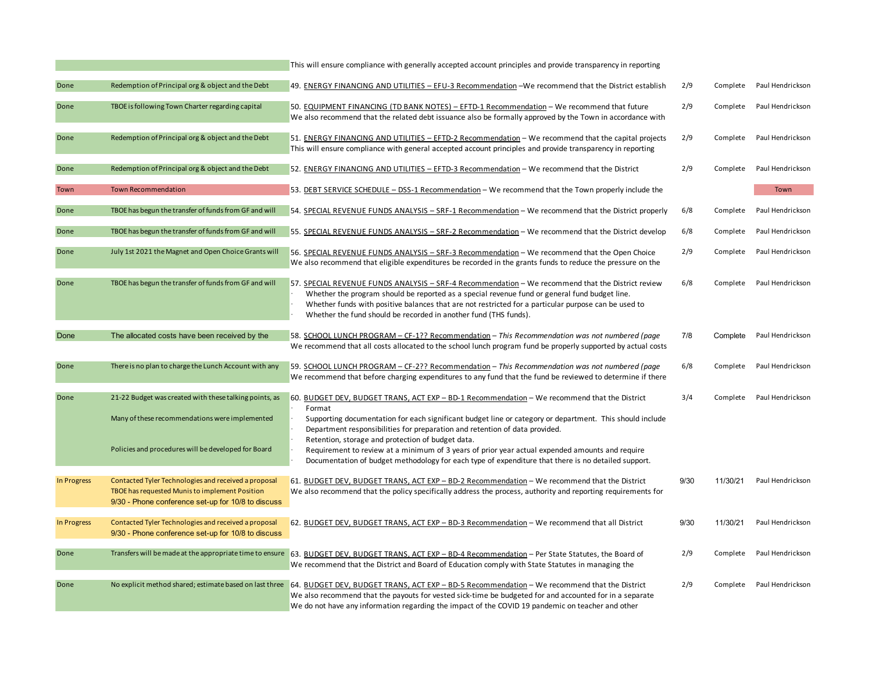|             |                                                                                                                                                              | This will ensure compliance with generally accepted account principles and provide transparency in reporting                                                                                                                                                                                                                                                                   |      |          |                           |
|-------------|--------------------------------------------------------------------------------------------------------------------------------------------------------------|--------------------------------------------------------------------------------------------------------------------------------------------------------------------------------------------------------------------------------------------------------------------------------------------------------------------------------------------------------------------------------|------|----------|---------------------------|
| Done        | Redemption of Principal org & object and the Debt                                                                                                            | 49. ENERGY FINANCING AND UTILITIES - EFU-3 Recommendation - We recommend that the District establish                                                                                                                                                                                                                                                                           | 2/9  | Complete | Paul Hendrickson          |
| Done        | TBOE is following Town Charter regarding capital                                                                                                             | 50. EQUIPMENT FINANCING (TD BANK NOTES) - EFTD-1 Recommendation - We recommend that future<br>We also recommend that the related debt issuance also be formally approved by the Town in accordance with                                                                                                                                                                        | 2/9  | Complete | Paul Hendrickson          |
| Done        | Redemption of Principal org & object and the Debt                                                                                                            | 51. ENERGY FINANCING AND UTILITIES - EFTD-2 Recommendation - We recommend that the capital projects<br>This will ensure compliance with general accepted account principles and provide transparency in reporting                                                                                                                                                              | 2/9  | Complete | Paul Hendrickson          |
| Done        | Redemption of Principal org & object and the Debt                                                                                                            | 52. ENERGY FINANCING AND UTILITIES - EFTD-3 Recommendation - We recommend that the District                                                                                                                                                                                                                                                                                    | 2/9  | Complete | Paul Hendrickson          |
| Town        | <b>Town Recommendation</b>                                                                                                                                   | 53. DEBT SERVICE SCHEDULE - DSS-1 Recommendation - We recommend that the Town properly include the                                                                                                                                                                                                                                                                             |      |          | Town                      |
| Done        | TBOE has begun the transfer of funds from GF and will                                                                                                        | 54. SPECIAL REVENUE FUNDS ANALYSIS - SRF-1 Recommendation - We recommend that the District properly                                                                                                                                                                                                                                                                            | 6/8  | Complete | Paul Hendrickson          |
| Done        | TBOE has begun the transfer of funds from GF and will                                                                                                        | 55. SPECIAL REVENUE FUNDS ANALYSIS - SRF-2 Recommendation - We recommend that the District develop                                                                                                                                                                                                                                                                             | 6/8  | Complete | Paul Hendrickson          |
| Done        | July 1st 2021 the Magnet and Open Choice Grants will                                                                                                         | 56. SPECIAL REVENUE FUNDS ANALYSIS - SRF-3 Recommendation - We recommend that the Open Choice<br>We also recommend that eligible expenditures be recorded in the grants funds to reduce the pressure on the                                                                                                                                                                    | 2/9  | Complete | Paul Hendrickson          |
| Done        | TBOE has begun the transfer of funds from GF and will                                                                                                        | 57. SPECIAL REVENUE FUNDS ANALYSIS - SRF-4 Recommendation - We recommend that the District review<br>Whether the program should be reported as a special revenue fund or general fund budget line.<br>Whether funds with positive balances that are not restricted for a particular purpose can be used to<br>Whether the fund should be recorded in another fund (THS funds). | 6/8  | Complete | Paul Hendrickson          |
| Done        | The allocated costs have been received by the                                                                                                                | 58. SCHOOL LUNCH PROGRAM - CF-1?? Recommendation - This Recommendation was not numbered (page                                                                                                                                                                                                                                                                                  | 7/8  | Complete | Paul Hendrickson          |
|             |                                                                                                                                                              | We recommend that all costs allocated to the school lunch program fund be properly supported by actual costs                                                                                                                                                                                                                                                                   |      |          |                           |
| Done        | There is no plan to charge the Lunch Account with any                                                                                                        | 59. SCHOOL LUNCH PROGRAM - CF-2?? Recommendation - This Recommendation was not numbered (page<br>We recommend that before charging expenditures to any fund that the fund be reviewed to determine if there                                                                                                                                                                    | 6/8  | Complete | Paul Hendrickson          |
| Done        | 21-22 Budget was created with these talking points, as                                                                                                       | 60. BUDGET DEV, BUDGET TRANS, ACT EXP - BD-1 Recommendation - We recommend that the District<br>Format                                                                                                                                                                                                                                                                         | 3/4  | Complete | Paul Hendrickson          |
|             | Many of these recommendations were implemented                                                                                                               | Supporting documentation for each significant budget line or category or department. This should include<br>Department responsibilities for preparation and retention of data provided.                                                                                                                                                                                        |      |          |                           |
|             | Policies and procedures will be developed for Board                                                                                                          | Retention, storage and protection of budget data.<br>Requirement to review at a minimum of 3 years of prior year actual expended amounts and require<br>Documentation of budget methodology for each type of expenditure that there is no detailed support.                                                                                                                    |      |          |                           |
| In Progress | Contacted Tyler Technologies and received a proposal<br>TBOE has requested Munis to implement Position<br>9/30 - Phone conference set-up for 10/8 to discuss | 61. BUDGET DEV, BUDGET TRANS, ACT EXP - BD-2 Recommendation - We recommend that the District<br>We also recommend that the policy specifically address the process, authority and reporting requirements for                                                                                                                                                                   | 9/30 | 11/30/21 | Paul Hendrickson          |
| In Progress | Contacted Tyler Technologies and received a proposal<br>9/30 - Phone conference set-up for 10/8 to discuss                                                   | 62. BUDGET DEV, BUDGET TRANS, ACT EXP - BD-3 Recommendation - We recommend that all District                                                                                                                                                                                                                                                                                   | 9/30 | 11/30/21 | Paul Hendrickson          |
| Done        |                                                                                                                                                              | Transfers will be made at the appropriate time to ensure 63. BUDGET DEV, BUDGET TRANS, ACT EXP - BD-4 Recommendation - Per State Statutes, the Board of<br>We recommend that the District and Board of Education comply with State Statutes in managing the                                                                                                                    | 2/9  | Complete | Paul Hendrickson          |
| Done        | No explicit method shared; estimate based on last three                                                                                                      | 64. BUDGET DEV, BUDGET TRANS, ACT EXP - BD-5 Recommendation - We recommend that the District<br>We also recommend that the payouts for vested sick-time be budgeted for and accounted for in a separate<br>We do not have any information regarding the impact of the COVID 19 pandemic on teacher and other                                                                   | 2/9  |          | Complete Paul Hendrickson |